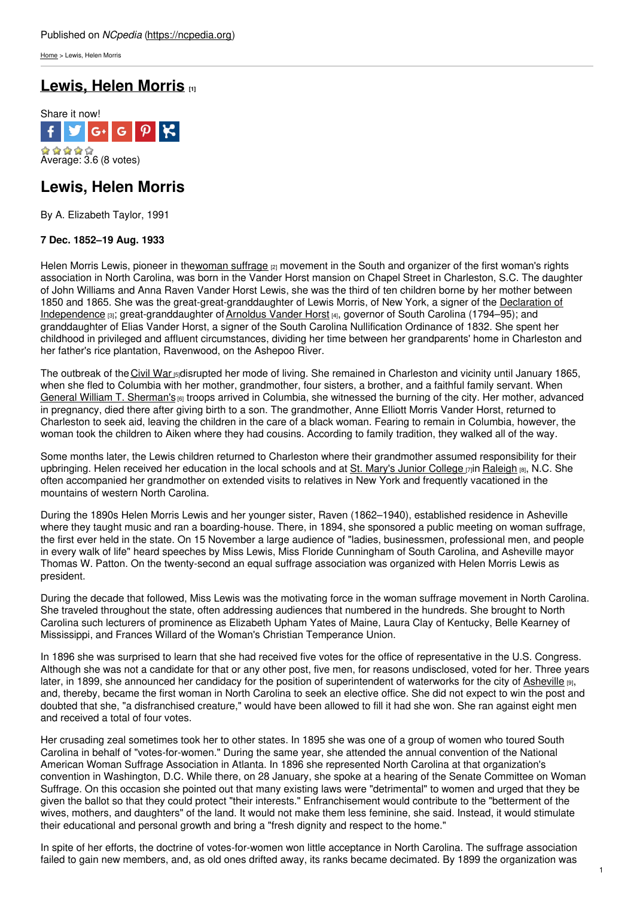[Home](https://ncpedia.org/) > Lewis, Helen Morris

# **[Lewis,](https://ncpedia.org/biography/lewis-helen) Helen Morris [1]**



## **Lewis, Helen Morris**

By A. Elizabeth Taylor, 1991

### **7 Dec. 1852–19 Aug. 1933**

Helen Morris Lewis, pioneer in thewoman [suffrage](https://ncpedia.org/women-suffrage) (2) movement in the South and organizer of the first woman's rights association in North Carolina, was born in the Vander Horst mansion on Chapel Street in Charleston, S.C. The daughter of John Williams and Anna Raven [Vander](http://www.social9.com) Horst Lewis, she was the third of ten children borne by her mother between 1850 and 1865. She was the [great-great-granddaughter](http://www.ushistory.org/declaration/document/) of Lewis Morris, of New York, a signer of the Declaration of Independence [3]; great-granddaughter of [Arnoldus](http://www.sciway.net/hist/governors/vanderhorst.html) Vander Horst [4], governor of South Carolina (1794–95); and granddaughter of Elias Vander Horst, a signer of the South Carolina Nullification Ordinance of 1832. She spent her childhood in privileged and affluent circumstances, dividing her time between her grandparents' home in Charleston and her father's rice plantation, Ravenwood, on the Ashepoo River.

The outbreak of the [Civil](https://ncpedia.org/category/subjects/civil-war) War **[5]disrupted her mode of living. She remained in Charleston and vicinity until January 1865**, when she fled to Columbia with her mother, grandmother, four sisters, a brother, and a faithful family servant. When General William T. [Sherman's](http://www.civilwarhome.com/sherbio.htm) [6] troops arrived in Columbia, she witnessed the burning of the city. Her mother, advanced in pregnancy, died there after giving birth to a son. The grandmother, Anne Elliott Morris Vander Horst, returned to Charleston to seek aid, leaving the children in the care of a black woman. Fearing to remain in Columbia, however, the woman took the children to Aiken where they had cousins. According to family tradition, they walked all of the way.

Some months later, the Lewis children returned to Charleston where their grandmother assumed responsibility for their upbringing. Helen received her education in the local schools and at St. Mary's Junior [College](http://www.sms.edu/) [7]in [Raleigh](https://ncpedia.org/geography/raleigh) [8], N.C. She often accompanied her grandmother on extended visits to relatives in New York and frequently vacationed in the mountains of western North Carolina.

During the 1890s Helen Morris Lewis and her younger sister, Raven (1862–1940), established residence in Asheville where they taught music and ran a boarding-house. There, in 1894, she sponsored a public meeting on woman suffrage, the first ever held in the state. On 15 November a large audience of "ladies, businessmen, professional men, and people in every walk of life" heard speeches by Miss Lewis, Miss Floride Cunningham of South Carolina, and Asheville mayor Thomas W. Patton. On the twenty-second an equal suffrage association was organized with Helen Morris Lewis as president.

During the decade that followed, Miss Lewis was the motivating force in the woman suffrage movement in North Carolina. She traveled throughout the state, often addressing audiences that numbered in the hundreds. She brought to North Carolina such lecturers of prominence as Elizabeth Upham Yates of Maine, Laura Clay of Kentucky, Belle Kearney of Mississippi, and Frances Willard of the Woman's Christian Temperance Union.

In 1896 she was surprised to learn that she had received five votes for the office of representative in the U.S. Congress. Although she was not a candidate for that or any other post, five men, for reasons undisclosed, voted for her. Three years later, in 1899, she announced her candidacy for the position of superintendent of waterworks for the city of [Asheville](https://ncpedia.org/geography/asheville) [9], and, thereby, became the first woman in North Carolina to seek an elective office. She did not expect to win the post and doubted that she, "a disfranchised creature," would have been allowed to fill it had she won. She ran against eight men and received a total of four votes.

Her crusading zeal sometimes took her to other states. In 1895 she was one of a group of women who toured South Carolina in behalf of "votes-for-women." During the same year, she attended the annual convention of the National American Woman Suffrage Association in Atlanta. In 1896 she represented North Carolina at that organization's convention in Washington, D.C. While there, on 28 January, she spoke at a hearing of the Senate Committee on Woman Suffrage. On this occasion she pointed out that many existing laws were "detrimental" to women and urged that they be given the ballot so that they could protect "their interests." Enfranchisement would contribute to the "betterment of the wives, mothers, and daughters" of the land. It would not make them less feminine, she said. Instead, it would stimulate their educational and personal growth and bring a "fresh dignity and respect to the home."

In spite of her efforts, the doctrine of votes-for-women won little acceptance in North Carolina. The suffrage association failed to gain new members, and, as old ones drifted away, its ranks became decimated. By 1899 the organization was